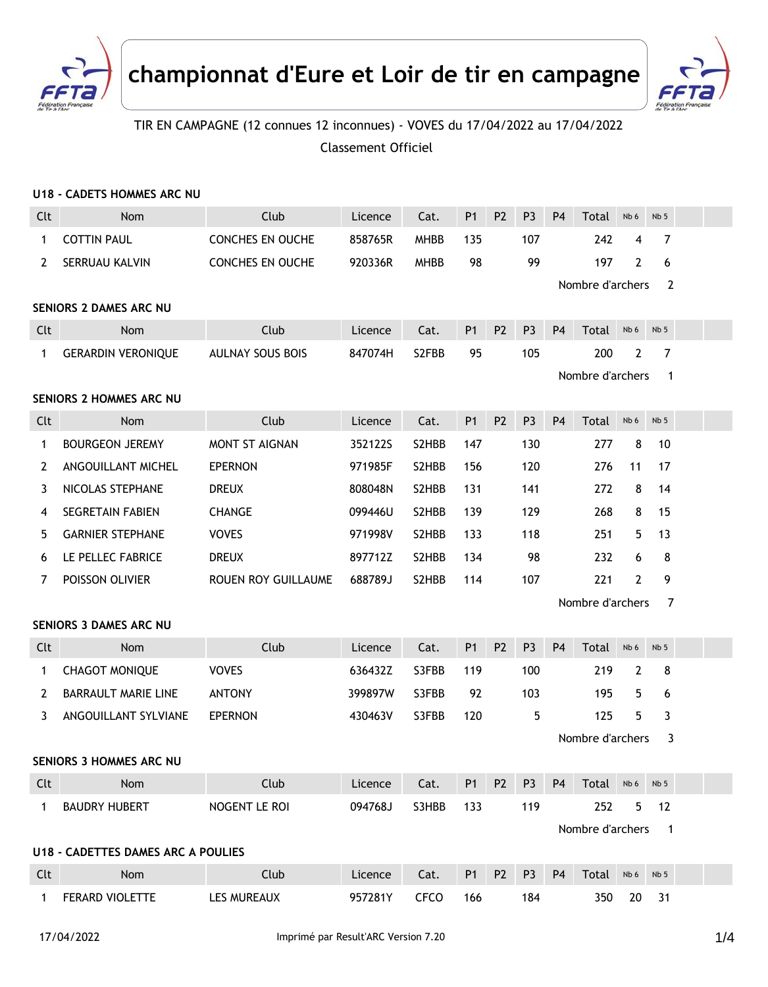



## TIR EN CAMPAGNE (12 connues 12 inconnues) - VOVES du 17/04/2022 au 17/04/2022 Classement Officiel

|                         | <b>U18 - CADETS HOMMES ARC NU</b>         |                         |         |             |                |                |                |                |                         |                |                          |  |
|-------------------------|-------------------------------------------|-------------------------|---------|-------------|----------------|----------------|----------------|----------------|-------------------------|----------------|--------------------------|--|
| Clt                     | <b>Nom</b>                                | Club                    | Licence | Cat.        | P <sub>1</sub> | P <sub>2</sub> | P <sub>3</sub> | P <sub>4</sub> | Total                   | Nb 6           | Nb <sub>5</sub>          |  |
| 1                       | <b>COTTIN PAUL</b>                        | CONCHES EN OUCHE        | 858765R | <b>MHBB</b> | 135            |                | 107            |                | 242                     | 4              | 7                        |  |
| 2                       | SERRUAU KALVIN                            | CONCHES EN OUCHE        | 920336R | <b>MHBB</b> | 98             |                | 99             |                | 197<br>Nombre d'archers | $\overline{2}$ | 6<br>2                   |  |
| SENIORS 2 DAMES ARC NU  |                                           |                         |         |             |                |                |                |                |                         |                |                          |  |
| Clt                     | Nom                                       | Club                    | Licence | Cat.        | <b>P1</b>      | <b>P2</b>      | P <sub>3</sub> | <b>P4</b>      | Total                   | Nb 6           | Nb <sub>5</sub>          |  |
| $\mathbf{1}$            | <b>GERARDIN VERONIQUE</b>                 | <b>AULNAY SOUS BOIS</b> | 847074H | S2FBB       | 95             |                | 105            |                | 200<br>Nombre d'archers | 2              | 7<br>1                   |  |
| SENIORS 2 HOMMES ARC NU |                                           |                         |         |             |                |                |                |                |                         |                |                          |  |
| Clt                     | Nom                                       | Club                    | Licence | Cat.        | P <sub>1</sub> | P <sub>2</sub> | P <sub>3</sub> | P <sub>4</sub> | Total                   | Nb 6           | Nb <sub>5</sub>          |  |
| 1                       | <b>BOURGEON JEREMY</b>                    | MONT ST AIGNAN          | 352122S | S2HBB       | 147            |                | 130            |                | 277                     | 8              | 10                       |  |
| 2                       | ANGOUILLANT MICHEL                        | <b>EPERNON</b>          | 971985F | S2HBB       | 156            |                | 120            |                | 276                     | 11             | 17                       |  |
| 3                       | NICOLAS STEPHANE                          | <b>DREUX</b>            | 808048N | S2HBB       | 131            |                | 141            |                | 272                     | 8              | 14                       |  |
| 4                       | <b>SEGRETAIN FABIEN</b>                   | <b>CHANGE</b>           | 099446U | S2HBB       | 139            |                | 129            |                | 268                     | 8              | 15                       |  |
| 5                       | <b>GARNIER STEPHANE</b>                   | <b>VOVES</b>            | 971998V | S2HBB       | 133            |                | 118            |                | 251                     | 5              | 13                       |  |
| 6                       | LE PELLEC FABRICE                         | <b>DREUX</b>            | 897712Z | S2HBB       | 134            |                | 98             |                | 232                     | 6              | 8                        |  |
| 7                       | POISSON OLIVIER                           | ROUEN ROY GUILLAUME     | 688789J | S2HBB       | 114            |                | 107            |                | 221                     | $\mathbf{2}$   | 9                        |  |
|                         |                                           |                         |         |             |                |                |                |                | Nombre d'archers        |                | $\overline{7}$           |  |
|                         | <b>SENIORS 3 DAMES ARC NU</b>             |                         |         |             |                |                |                |                |                         |                |                          |  |
| Clt                     | Nom                                       | Club                    | Licence | Cat.        | <b>P1</b>      | P <sub>2</sub> | P <sub>3</sub> | P <sub>4</sub> | Total                   | Nb 6           | Nb <sub>5</sub>          |  |
| 1                       | <b>CHAGOT MONIQUE</b>                     | <b>VOVES</b>            | 636432Z | S3FBB       | 119            |                | 100            |                | 219                     | 2              | 8                        |  |
| 2                       | <b>BARRAULT MARIE LINE</b>                | <b>ANTONY</b>           | 399897W | S3FBB       | 92             |                | 103            |                | 195                     | 5.             | 6                        |  |
| 3                       | ANGOUILLANT SYLVIANE                      | <b>EPERNON</b>          | 430463V | S3FBB       | 120            |                | 5              |                | 125                     | 5              | 3                        |  |
|                         |                                           |                         |         |             |                |                |                |                | Nombre d'archers        |                | 3                        |  |
|                         | SENIORS 3 HOMMES ARC NU                   |                         |         |             |                |                |                |                |                         |                |                          |  |
| Clt                     | Nom                                       | Club                    | Licence | Cat.        | P <sub>1</sub> | P <sub>2</sub> | P <sub>3</sub> | P4             | Total Nb6               |                | Nb <sub>5</sub>          |  |
| $\mathbf{1}$            | <b>BAUDRY HUBERT</b>                      | NOGENT LE ROI           | 094768J | S3HBB       | 133            |                | 119            |                | 252                     | 5 <sub>1</sub> | 12                       |  |
|                         |                                           |                         |         |             |                |                |                |                | Nombre d'archers        |                | $\overline{\phantom{1}}$ |  |
|                         | <b>U18 - CADETTES DAMES ARC A POULIES</b> |                         |         |             |                |                |                |                |                         |                |                          |  |
| Clt                     | Nom                                       | Club                    | Licence | Cat.        | <b>P1</b>      | P <sub>2</sub> | P <sub>3</sub> | <b>P4</b>      | Total                   | Nb 6           | Nb <sub>5</sub>          |  |
| $\mathbf{1}$            | FERARD VIOLETTE                           | LES MUREAUX             | 957281Y | <b>CFCO</b> | 166            |                | 184            |                | 350                     | 20             | 31                       |  |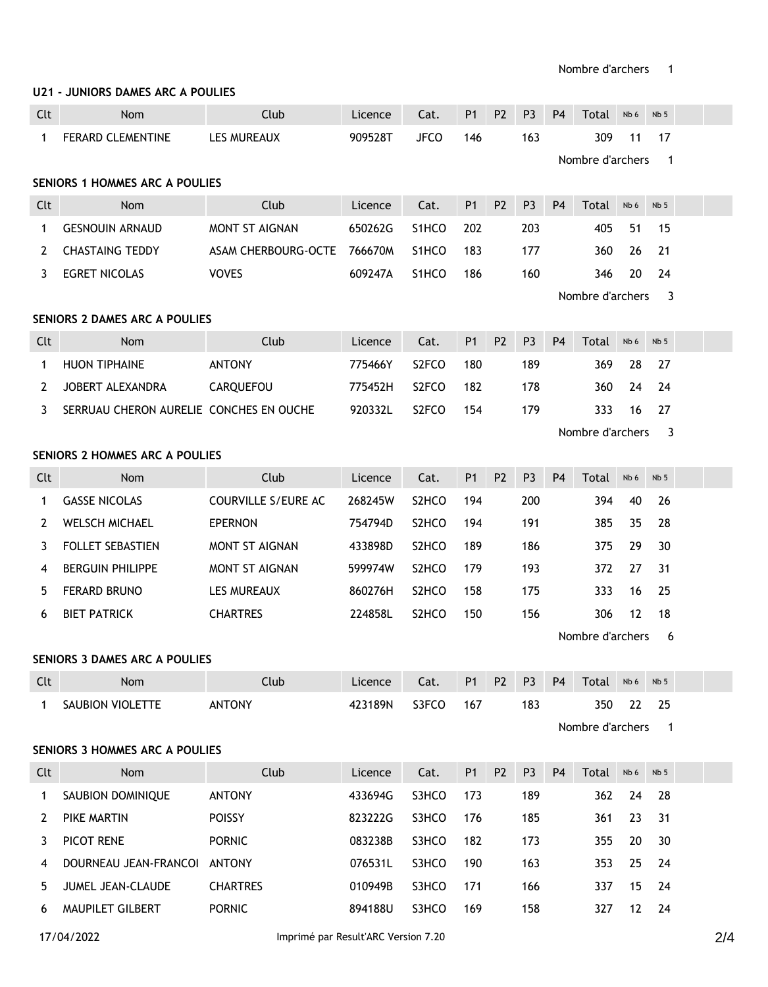## **U21 - JUNIORS DAMES ARC A POULIES**

| Clt                                  | Nom                                     | Club                  | Licence                                | Cat.               | <b>P1</b>      | P <sub>2</sub> | P <sub>3</sub> | P <sub>4</sub>                  | Total            | Nb 6 | Nb <sub>5</sub>          |  |  |  |
|--------------------------------------|-----------------------------------------|-----------------------|----------------------------------------|--------------------|----------------|----------------|----------------|---------------------------------|------------------|------|--------------------------|--|--|--|
| $\mathbf{1}$                         | FERARD CLEMENTINE                       | <b>LES MUREAUX</b>    | 909528T                                | <b>JFCO</b>        | 146            |                | 163            |                                 | 309              | 11   | 17                       |  |  |  |
|                                      |                                         |                       |                                        |                    |                |                |                | Nombre d'archers<br>$\mathbf 1$ |                  |      |                          |  |  |  |
| SENIORS 1 HOMMES ARC A POULIES       |                                         |                       |                                        |                    |                |                |                |                                 |                  |      |                          |  |  |  |
| Clt                                  | Nom                                     | Club                  | Licence                                | Cat.               | P <sub>1</sub> | <b>P2</b>      | P <sub>3</sub> | <b>P4</b>                       | Total            | Nb 6 | Nb <sub>5</sub>          |  |  |  |
| 1                                    | <b>GESNOUIN ARNAUD</b>                  | <b>MONT ST AIGNAN</b> | 650262G                                | S1HCO              | 202            |                | 203            |                                 | 405              | 51   | 15                       |  |  |  |
| 2                                    | <b>CHASTAING TEDDY</b>                  | ASAM CHERBOURG-OCTE   | 766670M                                | S1HCO              | 183            |                | 177            |                                 | 360              | 26   | 21                       |  |  |  |
| 3                                    | <b>EGRET NICOLAS</b>                    | <b>VOVES</b>          | 609247A                                | S1HCO              | 186            |                | 160            |                                 | 346              | 20   | 24                       |  |  |  |
|                                      | Nombre d'archers<br>3                   |                       |                                        |                    |                |                |                |                                 |                  |      |                          |  |  |  |
| <b>SENIORS 2 DAMES ARC A POULIES</b> |                                         |                       |                                        |                    |                |                |                |                                 |                  |      |                          |  |  |  |
| Clt                                  | Nom                                     | Club                  | Licence                                | Cat.               | P <sub>1</sub> | P <sub>2</sub> | P <sub>3</sub> | <b>P4</b>                       | Total            | Nb 6 | Nb <sub>5</sub>          |  |  |  |
| 1                                    | <b>HUON TIPHAINE</b>                    | <b>ANTONY</b>         | 775466Y                                | S <sub>2</sub> FCO | 180            |                | 189            |                                 | 369              | 28   | 27                       |  |  |  |
| 2                                    | JOBERT ALEXANDRA                        | CARQUEFOU             | 775452H                                | S <sub>2</sub> FCO | 182            |                | 178            |                                 | 360              | 24   | 24                       |  |  |  |
| 3                                    | SERRUAU CHERON AURELIE CONCHES EN OUCHE |                       | 920332L                                | S <sub>2</sub> FCO | 154            |                | 179            |                                 | 333              | 16   | 27                       |  |  |  |
|                                      |                                         |                       |                                        |                    |                |                |                |                                 | Nombre d'archers |      | 3                        |  |  |  |
| SENIORS 2 HOMMES ARC A POULIES       |                                         |                       |                                        |                    |                |                |                |                                 |                  |      |                          |  |  |  |
| Clt                                  | <b>Nom</b>                              | Club                  | Licence                                | Cat.               | <b>P1</b>      | P <sub>2</sub> | P <sub>3</sub> | P <sub>4</sub>                  | Total            | Nb 6 | Nb <sub>5</sub>          |  |  |  |
| $\mathbf{1}$                         | <b>GASSE NICOLAS</b>                    | COURVILLE S/EURE AC   | 268245W                                | S <sub>2</sub> HCO | 194            |                | 200            |                                 | 394              | 40   | 26                       |  |  |  |
| 2                                    | <b>WELSCH MICHAEL</b>                   | <b>EPERNON</b>        | 754794D                                | S <sub>2</sub> HCO | 194            |                | 191            |                                 | 385              | 35   | 28                       |  |  |  |
| 3                                    | <b>FOLLET SEBASTIEN</b>                 | <b>MONT ST AIGNAN</b> | 433898D                                | S <sub>2</sub> HCO | 189            |                | 186            |                                 | 375              | 29   | 30                       |  |  |  |
| 4                                    | <b>BERGUIN PHILIPPE</b>                 | MONT ST AIGNAN        | 599974W                                | S <sub>2</sub> HCO | 179            |                | 193            |                                 | 372              | 27   | 31                       |  |  |  |
| 5                                    | FERARD BRUNO                            | LES MUREAUX           | 860276H                                | S <sub>2</sub> HCO | 158            |                | 175            |                                 | 333              | 16   | 25                       |  |  |  |
| 6                                    | <b>BIET PATRICK</b>                     | <b>CHARTRES</b>       | 224858L                                | S <sub>2</sub> HCO | 150            |                | 156            |                                 | 306              | 12   | 18                       |  |  |  |
|                                      |                                         |                       |                                        |                    |                |                |                |                                 | Nombre d'archers |      | 6                        |  |  |  |
|                                      | <b>SENIORS 3 DAMES ARC A POULIES</b>    |                       |                                        |                    |                |                |                |                                 |                  |      |                          |  |  |  |
| Clt                                  | <b>Example 19 Nom</b>                   | Club                  | Licence Cat. P1 P2 P3 P4 Total Nb6 Nb5 |                    |                |                |                |                                 |                  |      |                          |  |  |  |
| 1                                    | SAUBION VIOLETTE                        | <b>ANTONY</b>         | 423189N                                | S3FCO              | 167            |                | 183            |                                 | 350              | 22   | 25                       |  |  |  |
|                                      |                                         |                       |                                        |                    |                |                |                |                                 | Nombre d'archers |      | $\overline{\phantom{1}}$ |  |  |  |
| SENIORS 3 HOMMES ARC A POULIES       |                                         |                       |                                        |                    |                |                |                |                                 |                  |      |                          |  |  |  |
| Clt                                  | Nom                                     | Club                  | Licence                                | Cat.               | P <sub>1</sub> | P <sub>2</sub> | P <sub>3</sub> | P <sub>4</sub>                  | Total            | Nb 6 | Nb <sub>5</sub>          |  |  |  |
| $\mathbf{1}$                         | SAUBION DOMINIQUE                       | <b>ANTONY</b>         | 433694G                                | S3HCO              | 173            |                | 189            |                                 | 362              | 24   | 28                       |  |  |  |
| 2                                    | PIKE MARTIN                             | <b>POISSY</b>         | 823222G                                | S3HCO              | 176            |                | 185            |                                 | 361              | 23   | 31                       |  |  |  |
| 3                                    | PICOT RENE                              | <b>PORNIC</b>         | 083238B                                | S3HCO              | 182            |                | 173            |                                 | 355              | 20   | 30                       |  |  |  |
| 4                                    | DOURNEAU JEAN-FRANCOI ANTONY            |                       | 076531L                                | S3HCO              | 190            |                | 163            |                                 | 353              | 25   | 24                       |  |  |  |
| 5                                    | JUMEL JEAN-CLAUDE                       | <b>CHARTRES</b>       | 010949B                                | S3HCO              | 171            |                | 166            |                                 | 337              | 15   | 24                       |  |  |  |
| 6                                    | MAUPILET GILBERT                        | <b>PORNIC</b>         | 894188U                                | S3HCO              | 169            |                | 158            |                                 | 327              | 12   | 24                       |  |  |  |
|                                      |                                         |                       |                                        |                    |                |                |                |                                 |                  |      |                          |  |  |  |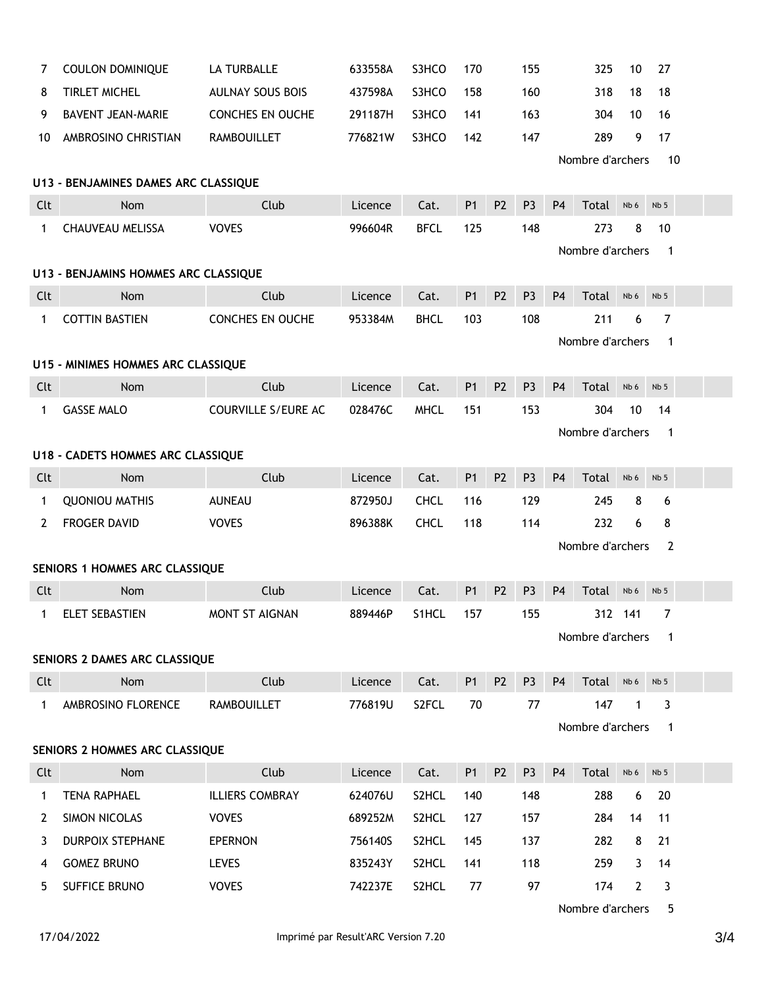| 7                                    | <b>COULON DOMINIQUE</b>        | LA TURBALLE                | 633558A               | S3HCO       | 170            |                | 155            |                | 325              | 10           | 27              |  |
|--------------------------------------|--------------------------------|----------------------------|-----------------------|-------------|----------------|----------------|----------------|----------------|------------------|--------------|-----------------|--|
| 8                                    | <b>TIRLET MICHEL</b>           | <b>AULNAY SOUS BOIS</b>    | 437598A               | S3HCO       | 158            |                | 160            |                | 318              | 18           | 18              |  |
| 9                                    | <b>BAVENT JEAN-MARIE</b>       | CONCHES EN OUCHE           | 291187H               | S3HCO       | 141            |                | 163            |                | 304              | 10           | 16              |  |
| 10                                   | AMBROSINO CHRISTIAN            | <b>RAMBOUILLET</b>         | 776821W               | S3HCO       | 142            |                | 147            |                | 289              | 9            | 17              |  |
|                                      |                                |                            |                       |             |                |                |                |                | Nombre d'archers |              | 10              |  |
| U13 - BENJAMINES DAMES ARC CLASSIQUE |                                |                            |                       |             |                |                |                |                |                  |              |                 |  |
| Clt                                  | <b>Nom</b>                     | Club                       | Licence               | Cat.        | P <sub>1</sub> | P <sub>2</sub> | P <sub>3</sub> | <b>P4</b>      | Total            | Nb 6         | Nb <sub>5</sub> |  |
| $\mathbf{1}$                         | <b>CHAUVEAU MELISSA</b>        | <b>VOVES</b>               | 996604R               | <b>BFCL</b> | 125            |                | 148            |                | 273              | 8            | 10              |  |
|                                      |                                |                            | Nombre d'archers<br>1 |             |                |                |                |                |                  |              |                 |  |
| U13 - BENJAMINS HOMMES ARC CLASSIQUE |                                |                            |                       |             |                |                |                |                |                  |              |                 |  |
| Clt                                  | <b>Nom</b>                     | Club                       | Licence               | Cat.        | P <sub>1</sub> | P <sub>2</sub> | P <sub>3</sub> | <b>P4</b>      | Total            | Nb 6         | Nb <sub>5</sub> |  |
| 1                                    | <b>COTTIN BASTIEN</b>          | CONCHES EN OUCHE           | 953384M               | <b>BHCL</b> | 103            |                | 108            |                | 211              | 6            | 7               |  |
|                                      |                                |                            |                       |             |                |                |                |                | Nombre d'archers |              | 1               |  |
| U15 - MINIMES HOMMES ARC CLASSIQUE   |                                |                            |                       |             |                |                |                |                |                  |              |                 |  |
| Clt                                  | <b>Nom</b>                     | Club                       | Licence               | Cat.        | P1             | P <sub>2</sub> | P <sub>3</sub> | <b>P4</b>      | Total            | Nb 6         | Nb <sub>5</sub> |  |
| 1                                    | <b>GASSE MALO</b>              | <b>COURVILLE S/EURE AC</b> | 028476C               | <b>MHCL</b> | 151            |                | 153            |                | 304              | 10           | 14              |  |
|                                      | Nombre d'archers<br>-1         |                            |                       |             |                |                |                |                |                  |              |                 |  |
| U18 - CADETS HOMMES ARC CLASSIQUE    |                                |                            |                       |             |                |                |                |                |                  |              |                 |  |
| Clt                                  | <b>Nom</b>                     | Club                       | Licence               | Cat.        | P <sub>1</sub> | P <sub>2</sub> | P <sub>3</sub> | P <sub>4</sub> | Total            | Nb 6         | Nb <sub>5</sub> |  |
| $\mathbf{1}$                         | <b>QUONIOU MATHIS</b>          | <b>AUNEAU</b>              | 872950J               | <b>CHCL</b> | 116            |                | 129            |                | 245              | 8            | 6               |  |
| 2                                    | <b>FROGER DAVID</b>            | <b>VOVES</b>               | 896388K               | <b>CHCL</b> | 118            |                | 114            |                | 232              | 6            | 8               |  |
|                                      |                                |                            |                       |             |                |                |                |                | Nombre d'archers |              | $\overline{2}$  |  |
|                                      | SENIORS 1 HOMMES ARC CLASSIQUE |                            |                       |             |                |                |                |                |                  |              |                 |  |
| Clt                                  | <b>Nom</b>                     | Club                       | Licence               | Cat.        | <b>P1</b>      | P <sub>2</sub> | P <sub>3</sub> | <b>P4</b>      | Total            | Nb 6         | Nb <sub>5</sub> |  |
| $\mathbf{1}$                         | ELET SEBASTIEN                 | <b>MONT ST AIGNAN</b>      | 889446P               | S1HCL       | 157            |                | 155            |                |                  | 312 141      | 7               |  |
|                                      |                                |                            |                       |             |                |                |                |                | Nombre d'archers |              | 1               |  |
|                                      | SENIORS 2 DAMES ARC CLASSIQUE  |                            |                       |             |                |                |                |                |                  |              |                 |  |
| Clt                                  | Nom                            | Club                       | Licence               | Cat.        | P <sub>1</sub> | P <sub>2</sub> | P <sub>3</sub> | P <sub>4</sub> | Total            | Nb 6         | Nb <sub>5</sub> |  |
| $\mathbf{1}$                         | AMBROSINO FLORENCE             | RAMBOUILLET                | 776819U               | S2FCL       | 70             |                | 77             |                | 147              | $\mathbf 1$  | 3               |  |
|                                      |                                |                            |                       |             |                |                |                |                | Nombre d'archers |              | $\mathbf{1}$    |  |
| SENIORS 2 HOMMES ARC CLASSIQUE       |                                |                            |                       |             |                |                |                |                |                  |              |                 |  |
| Clt                                  | Nom                            | Club                       | Licence               | Cat.        | P <sub>1</sub> | P <sub>2</sub> | P <sub>3</sub> | P <sub>4</sub> | Total            | Nb 6         | Nb <sub>5</sub> |  |
| 1                                    | <b>TENA RAPHAEL</b>            | <b>ILLIERS COMBRAY</b>     | 624076U               | S2HCL       | 140            |                | 148            |                | 288              | 6            | 20              |  |
| 2                                    | SIMON NICOLAS                  | <b>VOVES</b>               | 689252M               | S2HCL       | 127            |                | 157            |                | 284              | 14           | 11              |  |
| 3                                    | <b>DURPOIX STEPHANE</b>        | <b>EPERNON</b>             | 756140S               | S2HCL       | 145            |                | 137            |                | 282              | 8            | 21              |  |
| 4                                    | <b>GOMEZ BRUNO</b>             | LEVES                      | 835243Y               | S2HCL       | 141            |                | 118            |                | 259              | 3            | 14              |  |
| 5                                    | SUFFICE BRUNO                  | <b>VOVES</b>               | 742237E               | S2HCL       | 77             |                | 97             |                | 174              | $\mathbf{2}$ | 3               |  |

Nombre d'archers 5